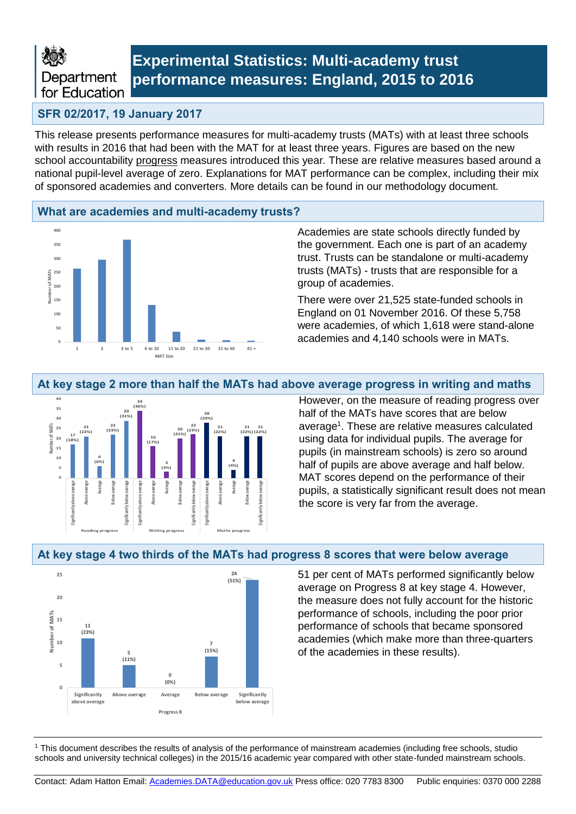

## **Experimental Statistics: Multi-academy trust performance measures: England, 2015 to 2016**

## **SFR 02/2017, 19 January 2017**

This release presents performance measures for multi-academy trusts (MATs) with at least three schools with results in 2016 that had been with the MAT for at least three years. Figures are based on the new school accountability progress measures introduced this year. These are relative measures based around a national pupil-level average of zero. Explanations for MAT performance can be complex, including their mix of sponsored academies and converters. More details can be found in our methodology document.

### **What are academies and multi-academy trusts?**



Academies are state schools directly funded by the government. Each one is part of an academy trust. Trusts can be standalone or multi-academy trusts (MATs) - trusts that are responsible for a group of academies.

There were over 21,525 state-funded schools in England on 01 November 2016. Of these 5,758 were academies, of which 1,618 were stand-alone academies and 4,140 schools were in MATs.

## **At key stage 2 more than half the MATs had above average progress in writing and maths**



However, on the measure of reading progress over half of the MATs have scores that are below average<sup>1</sup>. These are relative measures calculated using data for individual pupils. The average for pupils (in mainstream schools) is zero so around half of pupils are above average and half below. MAT scores depend on the performance of their pupils, a statistically significant result does not mean the score is very far from the average.



## **At key stage 4 two thirds of the MATs had progress 8 scores that were below average**

51 per cent of MATs performed significantly below average on Progress 8 at key stage 4. However, the measure does not fully account for the historic performance of schools, including the poor prior performance of schools that became sponsored academies (which make more than three-quarters of the academies in these results).

<sup>1</sup> This document describes the results of analysis of the performance of mainstream academies (including free schools, studio schools and university technical colleges) in the 2015/16 academic year compared with other state-funded mainstream schools.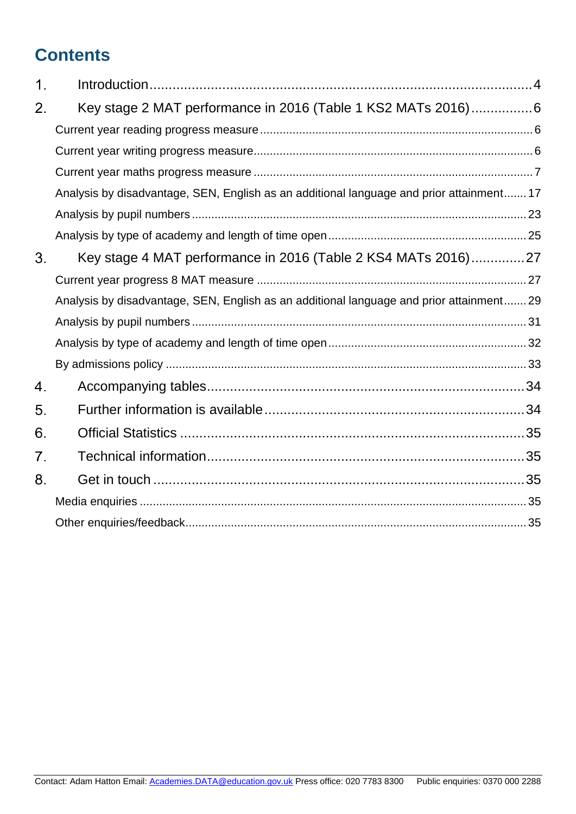# **Contents**

| Key stage 2 MAT performance in 2016 (Table 1 KS2 MATs 2016)6                             |
|------------------------------------------------------------------------------------------|
|                                                                                          |
|                                                                                          |
|                                                                                          |
| Analysis by disadvantage, SEN, English as an additional language and prior attainment 17 |
|                                                                                          |
|                                                                                          |
| Key stage 4 MAT performance in 2016 (Table 2 KS4 MATs 2016)27                            |
|                                                                                          |
| Analysis by disadvantage, SEN, English as an additional language and prior attainment 29 |
|                                                                                          |
|                                                                                          |
|                                                                                          |
|                                                                                          |
|                                                                                          |
|                                                                                          |
|                                                                                          |
|                                                                                          |
|                                                                                          |
|                                                                                          |
|                                                                                          |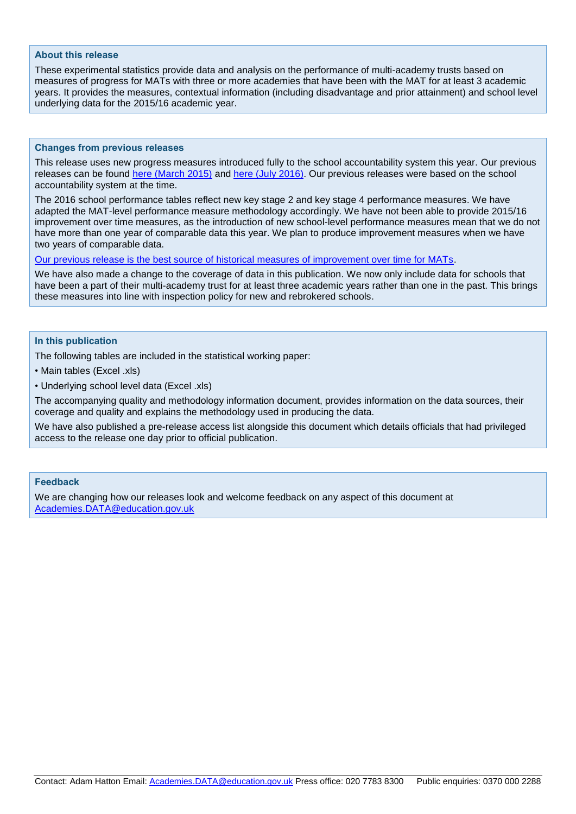#### **About this release**

These experimental statistics provide data and analysis on the performance of multi-academy trusts based on measures of progress for MATs with three or more academies that have been with the MAT for at least 3 academic years. It provides the measures, contextual information (including disadvantage and prior attainment) and school level underlying data for the 2015/16 academic year.

#### **Changes from previous releases**

This release uses new progress measures introduced fully to the school accountability system this year. Our previous releases can be found [here \(March 2015\)](https://www.gov.uk/government/statistics/schools-in-academy-chains-and-las-performance-measures) and [here \(July 2016\).](https://www.gov.uk/government/statistics/multi-academy-trust-performance-measures-2014-to-2015) Our previous releases were based on the school accountability system at the time.

The 2016 school performance tables reflect new key stage 2 and key stage 4 performance measures. We have adapted the MAT-level performance measure methodology accordingly. We have not been able to provide 2015/16 improvement over time measures, as the introduction of new school-level performance measures mean that we do not have more than one year of comparable data this year. We plan to produce improvement measures when we have two years of comparable data.

[Our previous release is the best source of historical measures of improvement over time for MATs.](https://www.gov.uk/government/statistics/multi-academy-trust-performance-measures-2014-to-2015)

We have also made a change to the coverage of data in this publication. We now only include data for schools that have been a part of their multi-academy trust for at least three academic years rather than one in the past. This brings these measures into line with inspection policy for new and rebrokered schools.

#### **In this publication**

The following tables are included in the statistical working paper:

• Main tables (Excel .xls)

• Underlying school level data (Excel .xls)

The accompanying quality and methodology information document, provides information on the data sources, their coverage and quality and explains the methodology used in producing the data.

We have also published a pre-release access list alongside this document which details officials that had privileged access to the release one day prior to official publication.

#### **Feedback**

We are changing how our releases look and welcome feedback on any aspect of this document at [Academies.DATA@education.gov.uk](mailto:Academies.DATA@education.gov.uk)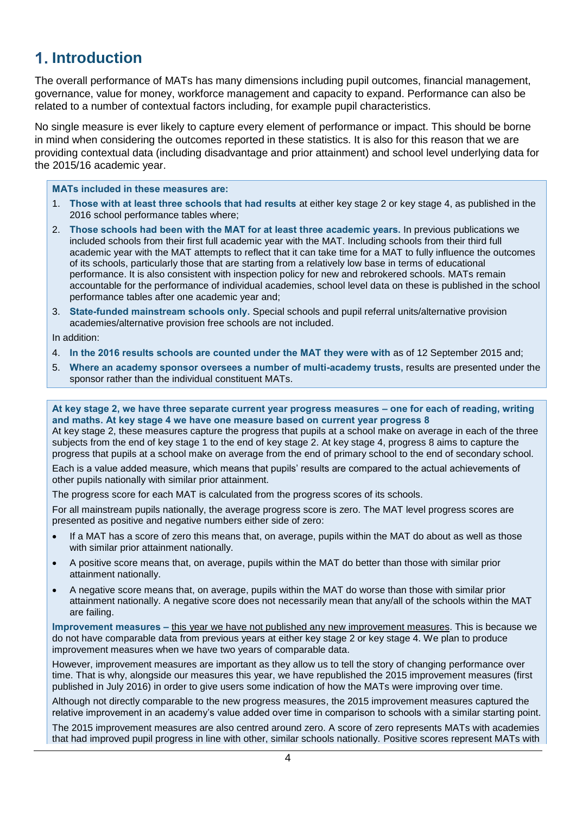## <span id="page-3-0"></span>**Introduction**

The overall performance of MATs has many dimensions including pupil outcomes, financial management, governance, value for money, workforce management and capacity to expand. Performance can also be related to a number of contextual factors including, for example pupil characteristics.

No single measure is ever likely to capture every element of performance or impact. This should be borne in mind when considering the outcomes reported in these statistics. It is also for this reason that we are providing contextual data (including disadvantage and prior attainment) and school level underlying data for the 2015/16 academic year.

#### **MATs included in these measures are:**

- 1. **Those with at least three schools that had results** at either key stage 2 or key stage 4, as published in the 2016 school performance tables where;
- 2. **Those schools had been with the MAT for at least three academic years.** In previous publications we included schools from their first full academic year with the MAT. Including schools from their third full academic year with the MAT attempts to reflect that it can take time for a MAT to fully influence the outcomes of its schools, particularly those that are starting from a relatively low base in terms of educational performance. It is also consistent with inspection policy for new and rebrokered schools. MATs remain accountable for the performance of individual academies, school level data on these is published in the school performance tables after one academic year and;
- 3. **State-funded mainstream schools only.** Special schools and pupil referral units/alternative provision academies/alternative provision free schools are not included.

In addition:

- 4. **In the 2016 results schools are counted under the MAT they were with** as of 12 September 2015 and;
- 5. **Where an academy sponsor oversees a number of multi-academy trusts,** results are presented under the sponsor rather than the individual constituent MATs.

#### **At key stage 2, we have three separate current year progress measures – one for each of reading, writing and maths. At key stage 4 we have one measure based on current year progress 8**

At key stage 2, these measures capture the progress that pupils at a school make on average in each of the three subjects from the end of key stage 1 to the end of key stage 2. At key stage 4, progress 8 aims to capture the progress that pupils at a school make on average from the end of primary school to the end of secondary school.

Each is a value added measure, which means that pupils' results are compared to the actual achievements of other pupils nationally with similar prior attainment.

The progress score for each MAT is calculated from the progress scores of its schools.

For all mainstream pupils nationally, the average progress score is zero. The MAT level progress scores are presented as positive and negative numbers either side of zero:

- If a MAT has a score of zero this means that, on average, pupils within the MAT do about as well as those with similar prior attainment nationally.
- A positive score means that, on average, pupils within the MAT do better than those with similar prior attainment nationally.
- A negative score means that, on average, pupils within the MAT do worse than those with similar prior attainment nationally. A negative score does not necessarily mean that any/all of the schools within the MAT are failing.

**Improvement measures –** this year we have not published any new improvement measures. This is because we do not have comparable data from previous years at either key stage 2 or key stage 4. We plan to produce improvement measures when we have two years of comparable data.

However, improvement measures are important as they allow us to tell the story of changing performance over time. That is why, alongside our measures this year, we have republished the 2015 improvement measures (first published in July 2016) in order to give users some indication of how the MATs were improving over time.

Although not directly comparable to the new progress measures, the 2015 improvement measures captured the relative improvement in an academy's value added over time in comparison to schools with a similar starting point.

The 2015 improvement measures are also centred around zero. A score of zero represents MATs with academies that had improved pupil progress in line with other, similar schools nationally. Positive scores represent MATs with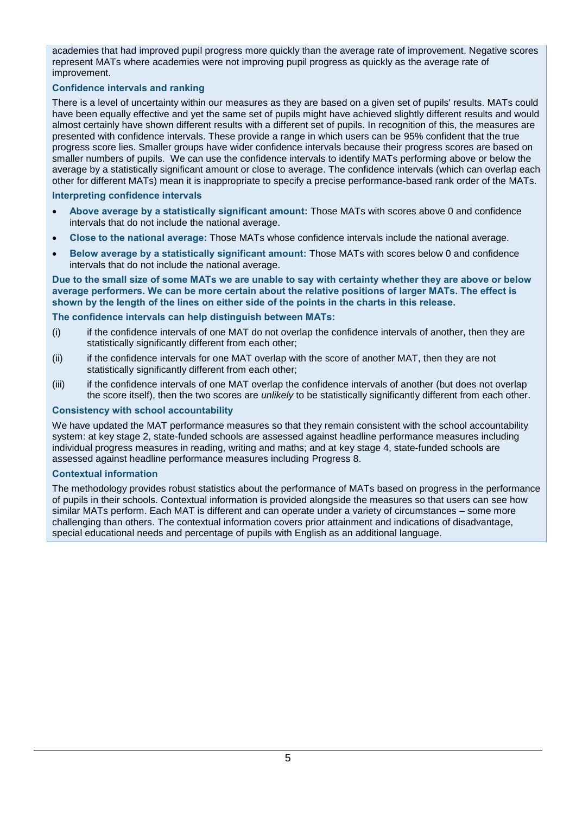academies that had improved pupil progress more quickly than the average rate of improvement. Negative scores represent MATs where academies were not improving pupil progress as quickly as the average rate of improvement.

#### **Confidence intervals and ranking**

There is a level of uncertainty within our measures as they are based on a given set of pupils' results. MATs could have been equally effective and yet the same set of pupils might have achieved slightly different results and would almost certainly have shown different results with a different set of pupils. In recognition of this, the measures are presented with confidence intervals. These provide a range in which users can be 95% confident that the true progress score lies. Smaller groups have wider confidence intervals because their progress scores are based on smaller numbers of pupils. We can use the confidence intervals to identify MATs performing above or below the average by a statistically significant amount or close to average. The confidence intervals (which can overlap each other for different MATs) mean it is inappropriate to specify a precise performance-based rank order of the MATs.

#### **Interpreting confidence intervals**

- **Above average by a statistically significant amount:** Those MATs with scores above 0 and confidence intervals that do not include the national average.
- **Close to the national average:** Those MATs whose confidence intervals include the national average.
- **Below average by a statistically significant amount:** Those MATs with scores below 0 and confidence intervals that do not include the national average.

**Due to the small size of some MATs we are unable to say with certainty whether they are above or below average performers. We can be more certain about the relative positions of larger MATs. The effect is shown by the length of the lines on either side of the points in the charts in this release.**

#### **The confidence intervals can help distinguish between MATs:**

- (i) if the confidence intervals of one MAT do not overlap the confidence intervals of another, then they are statistically significantly different from each other;
- (ii) if the confidence intervals for one MAT overlap with the score of another MAT, then they are not statistically significantly different from each other:
- (iii) if the confidence intervals of one MAT overlap the confidence intervals of another (but does not overlap the score itself), then the two scores are *unlikely* to be statistically significantly different from each other.

#### **Consistency with school accountability**

We have updated the MAT performance measures so that they remain consistent with the school accountability system: at key stage 2, state-funded schools are assessed against headline performance measures including individual progress measures in reading, writing and maths; and at key stage 4, state-funded schools are assessed against headline performance measures including Progress 8.

#### **Contextual information**

The methodology provides robust statistics about the performance of MATs based on progress in the performance of pupils in their schools. Contextual information is provided alongside the measures so that users can see how similar MATs perform. Each MAT is different and can operate under a variety of circumstances – some more challenging than others. The contextual information covers prior attainment and indications of disadvantage, special educational needs and percentage of pupils with English as an additional language.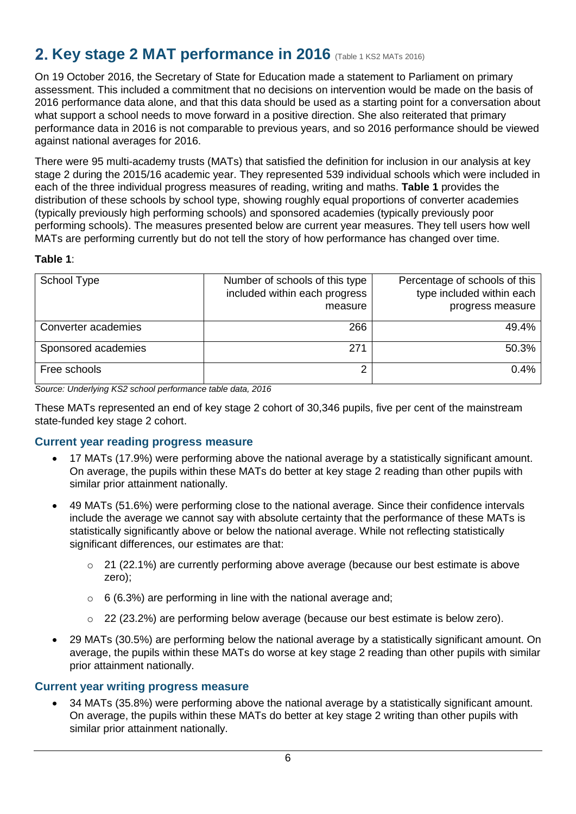# <span id="page-5-0"></span>**2. Key stage 2 MAT performance in 2016** (Table 1 KS2 MATs 2016)

On 19 October 2016, the Secretary of State for Education made a statement to Parliament on primary assessment. This included a commitment that no decisions on intervention would be made on the basis of 2016 performance data alone, and that this data should be used as a starting point for a conversation about what support a school needs to move forward in a positive direction. She also reiterated that primary performance data in 2016 is not comparable to previous years, and so 2016 performance should be viewed against national averages for 2016.

There were 95 multi-academy trusts (MATs) that satisfied the definition for inclusion in our analysis at key stage 2 during the 2015/16 academic year. They represented 539 individual schools which were included in each of the three individual progress measures of reading, writing and maths. **Table 1** provides the distribution of these schools by school type, showing roughly equal proportions of converter academies (typically previously high performing schools) and sponsored academies (typically previously poor performing schools). The measures presented below are current year measures. They tell users how well MATs are performing currently but do not tell the story of how performance has changed over time.

## **Table 1**:

| School Type         | Number of schools of this type<br>included within each progress<br>measure | Percentage of schools of this<br>type included within each<br>progress measure |
|---------------------|----------------------------------------------------------------------------|--------------------------------------------------------------------------------|
| Converter academies | 266                                                                        | 49.4%                                                                          |
| Sponsored academies | 271                                                                        | 50.3%                                                                          |
| Free schools        |                                                                            | 0.4%                                                                           |

*Source: Underlying KS2 school performance table data, 2016*

These MATs represented an end of key stage 2 cohort of 30,346 pupils, five per cent of the mainstream state-funded key stage 2 cohort.

## <span id="page-5-1"></span>**Current year reading progress measure**

- 17 MATs (17.9%) were performing above the national average by a statistically significant amount. On average, the pupils within these MATs do better at key stage 2 reading than other pupils with similar prior attainment nationally.
- 49 MATs (51.6%) were performing close to the national average. Since their confidence intervals include the average we cannot say with absolute certainty that the performance of these MATs is statistically significantly above or below the national average. While not reflecting statistically significant differences, our estimates are that:
	- o 21 (22.1%) are currently performing above average (because our best estimate is above zero);
	- $\circ$  6 (6.3%) are performing in line with the national average and;
	- o 22 (23.2%) are performing below average (because our best estimate is below zero).
- 29 MATs (30.5%) are performing below the national average by a statistically significant amount. On average, the pupils within these MATs do worse at key stage 2 reading than other pupils with similar prior attainment nationally.

## <span id="page-5-2"></span>**Current year writing progress measure**

 34 MATs (35.8%) were performing above the national average by a statistically significant amount. On average, the pupils within these MATs do better at key stage 2 writing than other pupils with similar prior attainment nationally.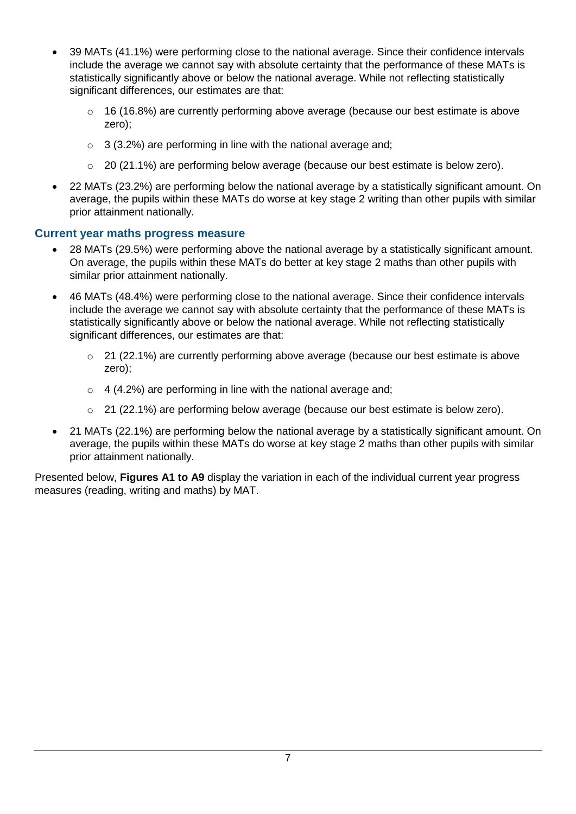- 39 MATs (41.1%) were performing close to the national average. Since their confidence intervals include the average we cannot say with absolute certainty that the performance of these MATs is statistically significantly above or below the national average. While not reflecting statistically significant differences, our estimates are that:
	- o 16 (16.8%) are currently performing above average (because our best estimate is above zero);
	- $\circ$  3 (3.2%) are performing in line with the national average and;
	- $\circ$  20 (21.1%) are performing below average (because our best estimate is below zero).
- 22 MATs (23.2%) are performing below the national average by a statistically significant amount. On average, the pupils within these MATs do worse at key stage 2 writing than other pupils with similar prior attainment nationally.

## <span id="page-6-0"></span>**Current year maths progress measure**

- 28 MATs (29.5%) were performing above the national average by a statistically significant amount. On average, the pupils within these MATs do better at key stage 2 maths than other pupils with similar prior attainment nationally.
- 46 MATs (48.4%) were performing close to the national average. Since their confidence intervals include the average we cannot say with absolute certainty that the performance of these MATs is statistically significantly above or below the national average. While not reflecting statistically significant differences, our estimates are that:
	- $\degree$  21 (22.1%) are currently performing above average (because our best estimate is above zero);
	- $\circ$  4 (4.2%) are performing in line with the national average and;
	- $\circ$  21 (22.1%) are performing below average (because our best estimate is below zero).
- 21 MATs (22.1%) are performing below the national average by a statistically significant amount. On average, the pupils within these MATs do worse at key stage 2 maths than other pupils with similar prior attainment nationally.

Presented below, **Figures A1 to A9** display the variation in each of the individual current year progress measures (reading, writing and maths) by MAT.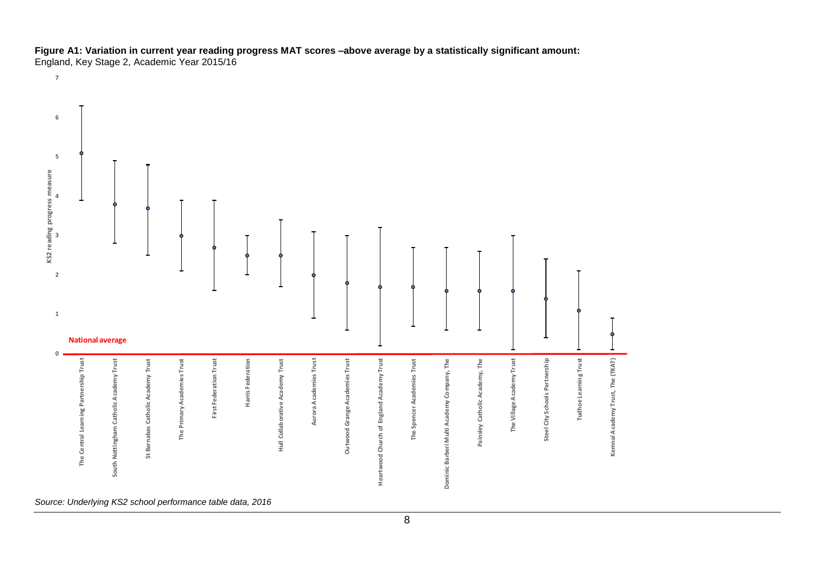**Figure A1: Variation in current year reading progress MAT scores –above average by a statistically significant amount:**

England, Key Stage 2, Academic Year 2015/16 

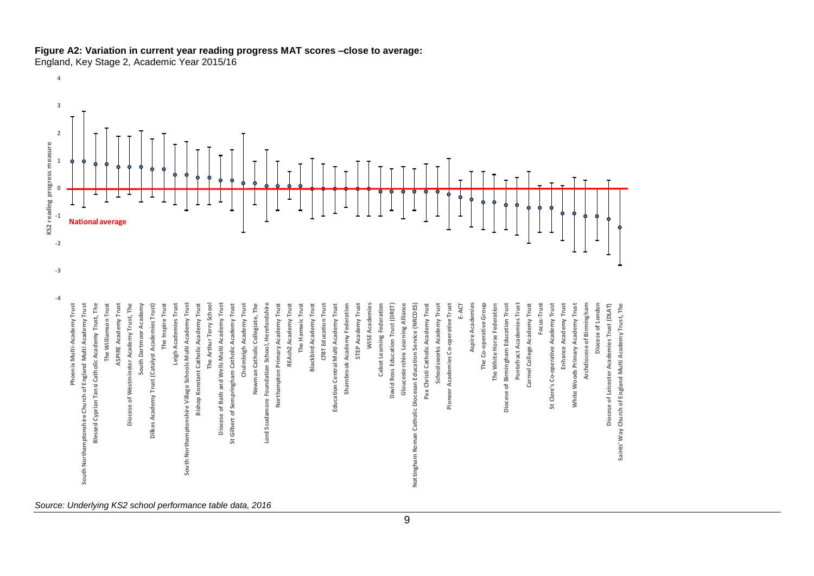

## **Figure A2: Variation in current year reading progress MAT scores –close to average:**

England, Key Stage 2, Academic Year 2015/16

**Phoenix Multi-Academy Trust South Northamptonshire Church of England Multi Academy Trust Blessed Cyprian Tansi Catholic Academy Trust, The The Williamson Trust ASPIRE Academy Trust Diocese of Westminster Academy Trust, The South Dartmoor Academy Dilkes Academy Trust (Catalyst Academies Trust) The Inspire Trust Leigh Academies Trust South Northamptonshire Village Schools Multi Academy Trust Bishop Konstant Catholic Academy Trust The Arthur Terry School Diocese of Bath and Wells Multi Academy Trust St Gilbert of Sempringham Catholic Academy Trust Chulmleigh Academy Trust Newman Catholic Collegiate, The Lord Scudamore Foundation School, Herefordshire Northampton Primary Academy Trust REAch2 Academy Trust The Hamwic Trust Blackbird Academy Trust CfBT Education Trust Education Central Multi Academy Trust Sharnbrook Academy Federation STEP Academy Trust WISE Academies Cabot Learning Federation David Ross Education Trust (DRET) Gloucestershire Learning Alliance Nottingham Roman Catholic Diocesan Education Service (NRCDES) Pax Christi Catholic Academy Trust Schoolsworks Academy Trust Pioneer Academies Co-operative Trust E-ACT Aspire Academies The Co-operative Group The White Horse Federation Diocese of Birmingham Education Trust Pontefract Academies Trust Carmel College Academy Trust Focus-Trust St Clere's Co-operative Academy Trust Enhance Academy Trust White Woods Primary Academy Trust Archdiocese of Birmingham Diocese of London Diocese of Leicester Academies Trust (DLAT) Saints' Way Church of England Multi Academy Trust, The KS2 reading progress measure**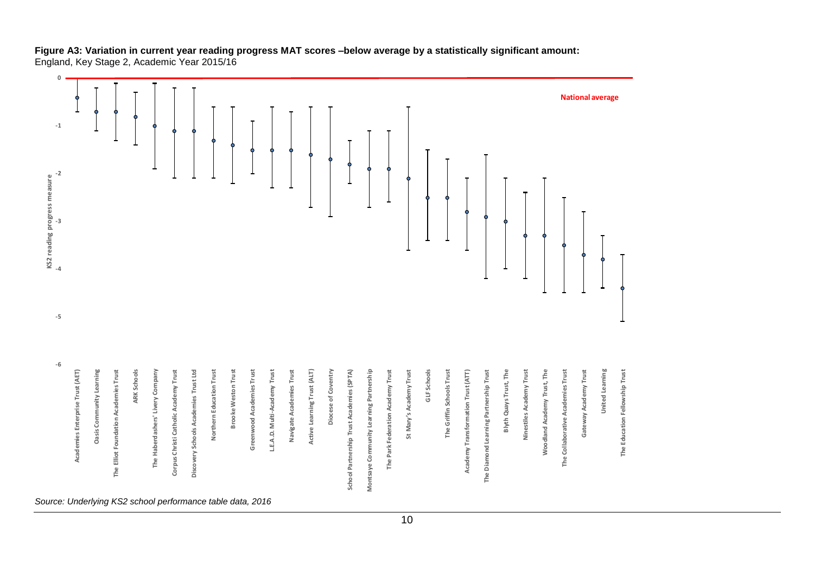#### **Figure A3: Variation in current year reading progress MAT scores –below average by a statistically significant amount:** England, Key Stage 2, Academic Year 2015/16

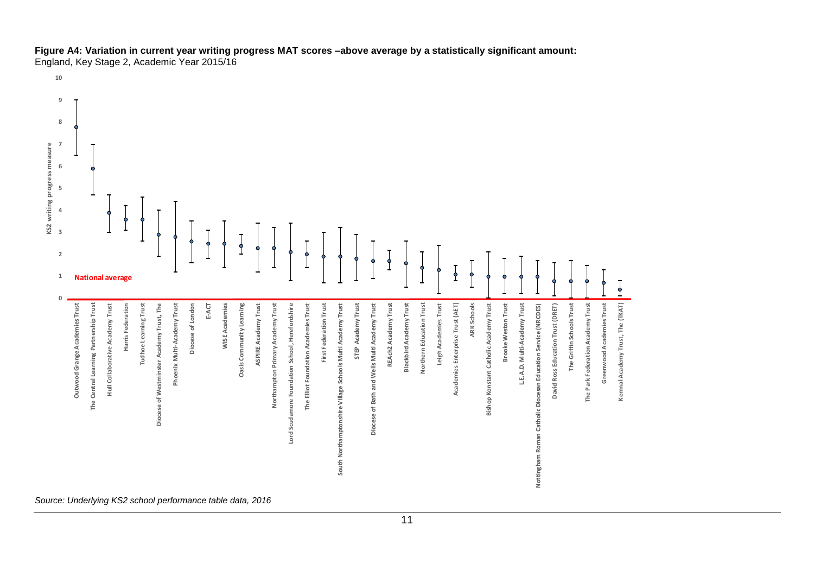## **Figure A4: Variation in current year writing progress MAT scores –above average by a statistically significant amount:**

England, Key Stage 2, Academic Year 2015/16

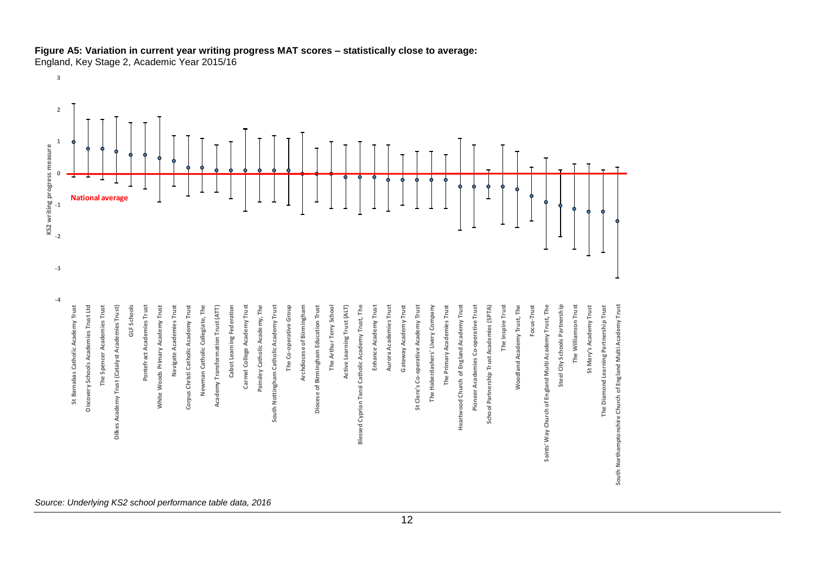

#### **Figure A5: Variation in current year writing progress MAT scores – statistically close to average:** England, Key Stage 2, Academic Year 2015/16

**3**

A Bostonical consistential matrix  $\mu$  and  $\mu$  and  $\mu$  and  $\mu$  and  $\mu$  and  $\mu$  and  $\mu$  and  $\mu$  and  $\mu$  and  $\mu$  and  $\mu$  and  $\mu$  and  $\mu$  and  $\mu$  and  $\mu$  and  $\mu$  and  $\mu$  and  $\mu$  and  $\mu$  and  $\mu$  and  $\mu$  an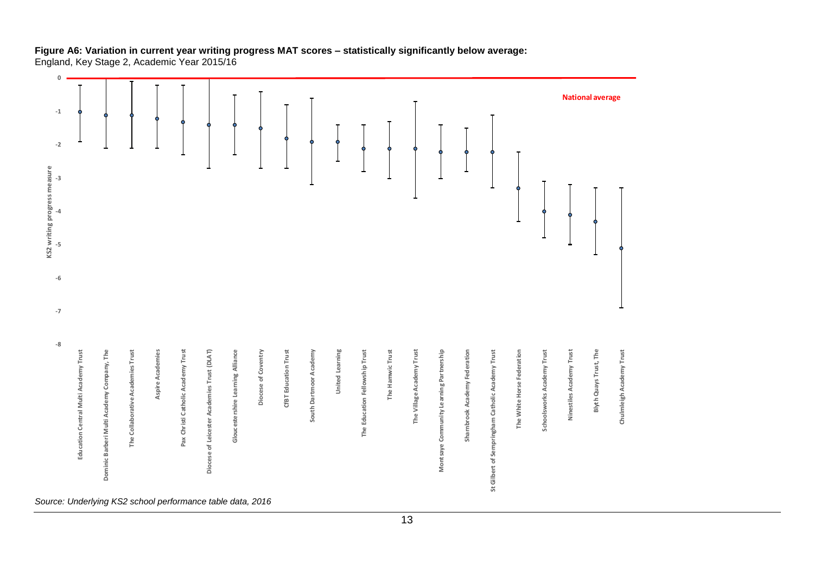## **Figure A6: Variation in current year writing progress MAT scores – statistically significantly below average:**

England, Key Stage 2, Academic Year 2015/16

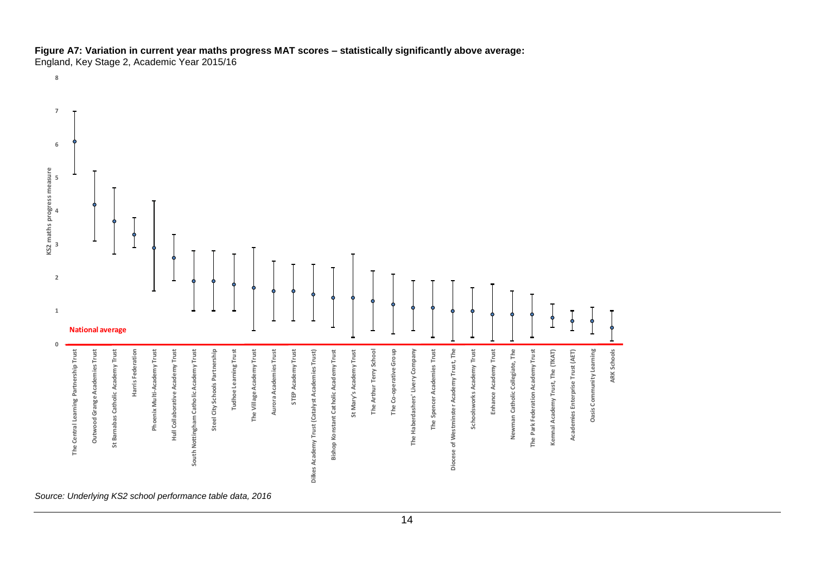## **Figure A7: Variation in current year maths progress MAT scores – statistically significantly above average:**

England, Key Stage 2, Academic Year 2015/16

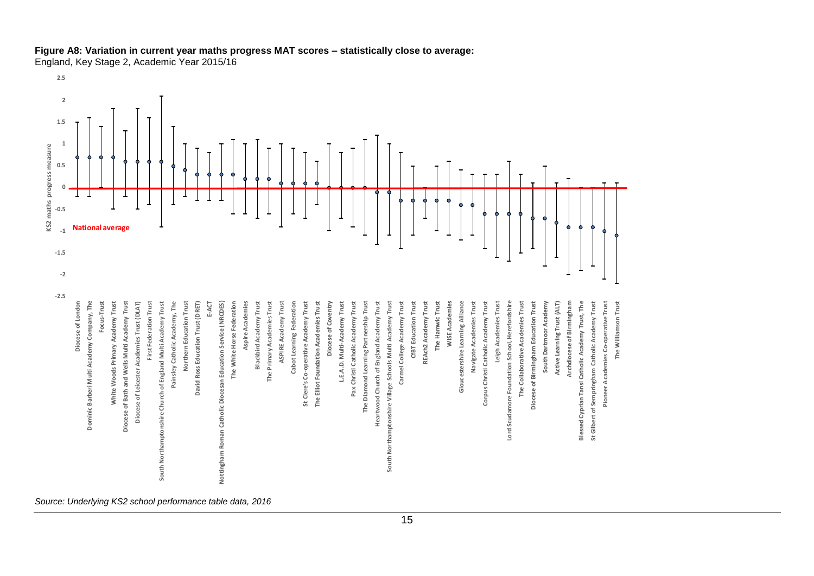

## **Figure A8: Variation in current year maths progress MAT scores – statistically close to average:**

England, Key Stage 2, Academic Year 2015/16

**-2.5**

**Diocese of London Dominic Barberi Multi Academy Company, The Focus-Trust White Woods Primary Academy Trust Diocese of Bath and Wells Multi Academy Trust Diocese of Leicester Academies Trust (DLAT) First Federation Trust South Northamptonshire Church of England Multi Academy Trust Painsley Catholic Academy, The Northern Education Trust David Ross Education Trust (DRET) E-ACT Nottingham Roman Catholic Diocesan Education Service (NRCDES) The White Horse Federation Aspire Academies Blackbird Academy Trust The Primary Academies Trust ASPIRE Academy Trust Cabot Learning Federation St Clere's Co-operative Academy Trust The Elliot Foundation Academies Trust Diocese of Coventry L.E.A.D. Multi-Academy Trust Pax Christi Catholic Academy Trust The Diamond Learning Partnership Trust Heartwood Church of England Academy Trust South Northamptonshire Village Schools Multi Academy Trust Carmel College Academy Trust CfBT Education Trust REAch2 Academy Trust The Hamwic Trust WISE Academies Gloucestershire Learning Alliance Navigate Academies Trust Corpus Christi Catholic Academy Trust Leigh Academies Trust Lord Scudamore Foundation School, Herefordshire The Collaborative Academies Trust Diocese of Birmingham Education Trust South Dartmoor Academy Active Learning Trust (ALT) Archdiocese of Birmingham Blessed Cyprian Tansi Catholic Academy Trust, The St Gilbert of Sempringham Catholic Academy Trust Pioneer Academies Co-operative Trust The Williamson Trust KS2 maths progress measure**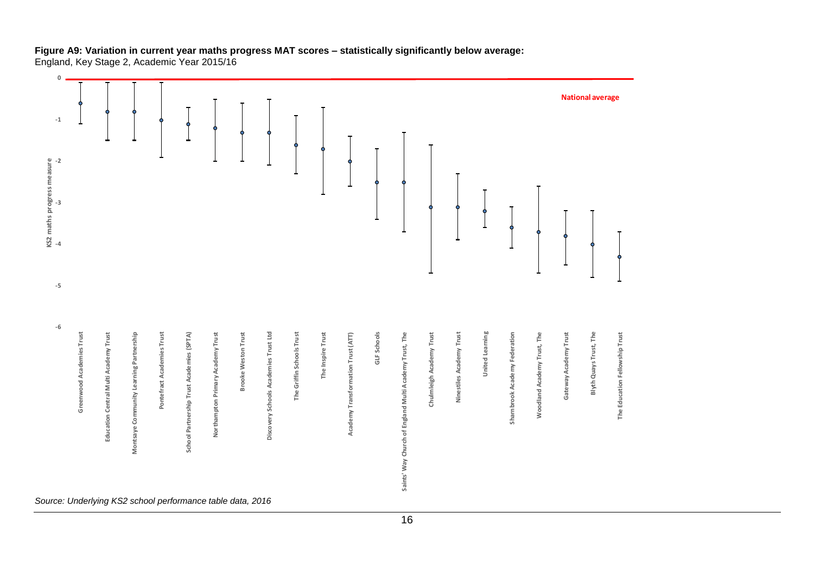#### **Figure A9: Variation in current year maths progress MAT scores – statistically significantly below average:** England, Key Stage 2, Academic Year 2015/16

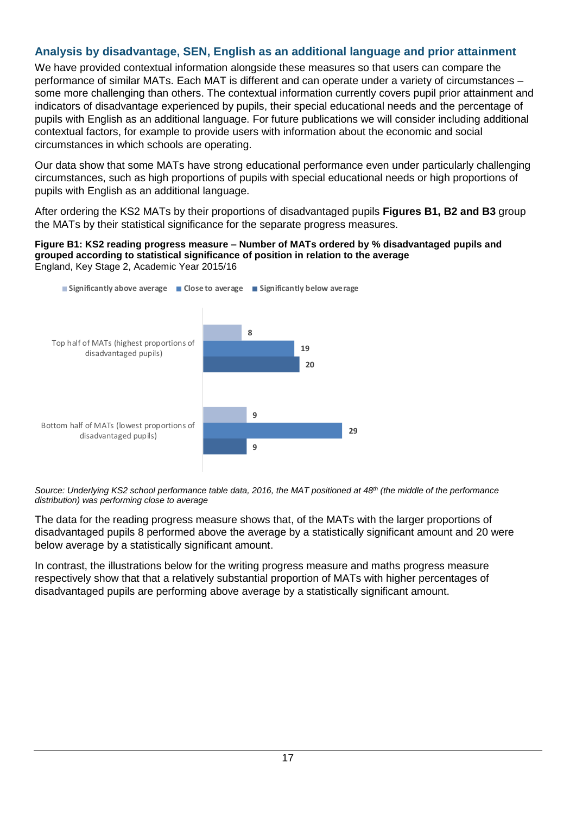## <span id="page-16-0"></span>**Analysis by disadvantage, SEN, English as an additional language and prior attainment**

We have provided contextual information alongside these measures so that users can compare the performance of similar MATs. Each MAT is different and can operate under a variety of circumstances – some more challenging than others. The contextual information currently covers pupil prior attainment and indicators of disadvantage experienced by pupils, their special educational needs and the percentage of pupils with English as an additional language. For future publications we will consider including additional contextual factors, for example to provide users with information about the economic and social circumstances in which schools are operating.

Our data show that some MATs have strong educational performance even under particularly challenging circumstances, such as high proportions of pupils with special educational needs or high proportions of pupils with English as an additional language.

After ordering the KS2 MATs by their proportions of disadvantaged pupils **Figures B1, B2 and B3** group the MATs by their statistical significance for the separate progress measures.

#### **Figure B1: KS2 reading progress measure – Number of MATs ordered by % disadvantaged pupils and grouped according to statistical significance of position in relation to the average** England, Key Stage 2, Academic Year 2015/16



*Source: Underlying KS2 school performance table data, 2016, the MAT positioned at 48th (the middle of the performance distribution) was performing close to average*

The data for the reading progress measure shows that, of the MATs with the larger proportions of disadvantaged pupils 8 performed above the average by a statistically significant amount and 20 were below average by a statistically significant amount.

In contrast, the illustrations below for the writing progress measure and maths progress measure respectively show that that a relatively substantial proportion of MATs with higher percentages of disadvantaged pupils are performing above average by a statistically significant amount.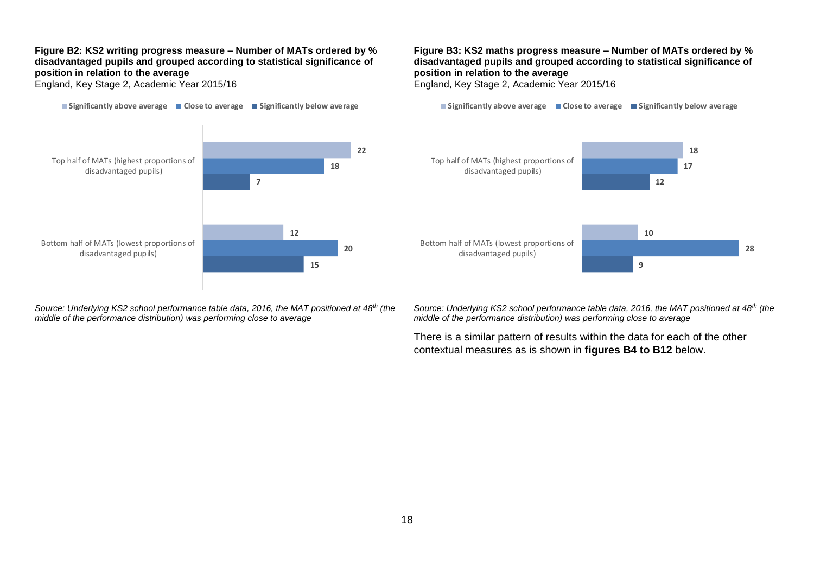#### **Figure B2: KS2 writing progress measure – Number of MATs ordered by % disadvantaged pupils and grouped according to statistical significance of position in relation to the average**

England, Key Stage 2, Academic Year 2015/16

**Significantly above average Close to average Significantly below average**



England, Key Stage 2, Academic Year 2015/16

**Significantly above average Close to average Significantly below average**



*Source: Underlying KS2 school performance table data, 2016, the MAT positioned at 48th (the middle of the performance distribution) was performing close to average*

**28**

There is a similar pattern of results within the data for each of the other contextual measures as is shown in **figures B4 to B12** below.



*Source: Underlying KS2 school performance table data, 2016, the MAT positioned at 48th (the middle of the performance distribution) was performing close to average*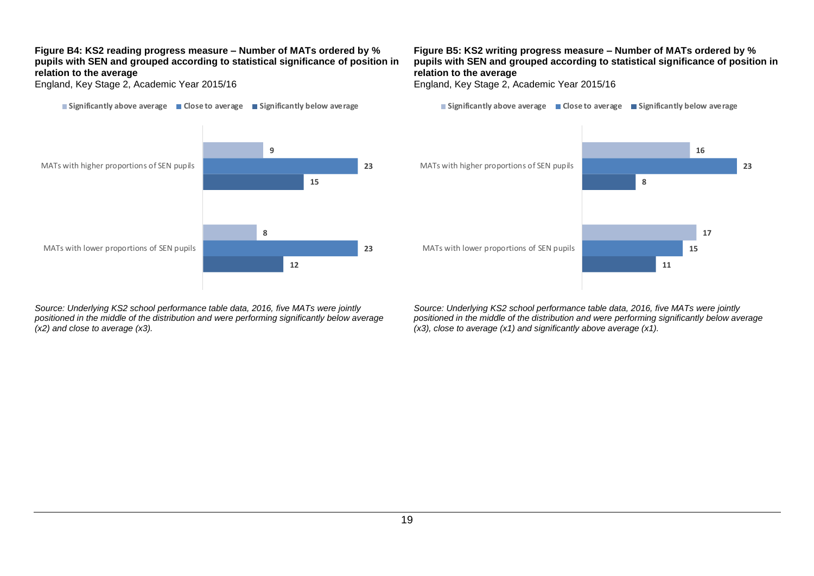#### **Figure B4: KS2 reading progress measure – Number of MATs ordered by % pupils with SEN and grouped according to statistical significance of position in relation to the average**

England, Key Stage 2, Academic Year 2015/16

**Significantly above average Close to average Significantly below average**



*Source: Underlying KS2 school performance table data, 2016, five MATs were jointly positioned in the middle of the distribution and were performing significantly below average (x2) and close to average (x3).*

#### **Figure B5: KS2 writing progress measure – Number of MATs ordered by % pupils with SEN and grouped according to statistical significance of position in relation to the average**

England, Key Stage 2, Academic Year 2015/16

**Significantly above average Close to average Significantly below average**



*Source: Underlying KS2 school performance table data, 2016, five MATs were jointly positioned in the middle of the distribution and were performing significantly below average (x3), close to average (x1) and significantly above average (x1).*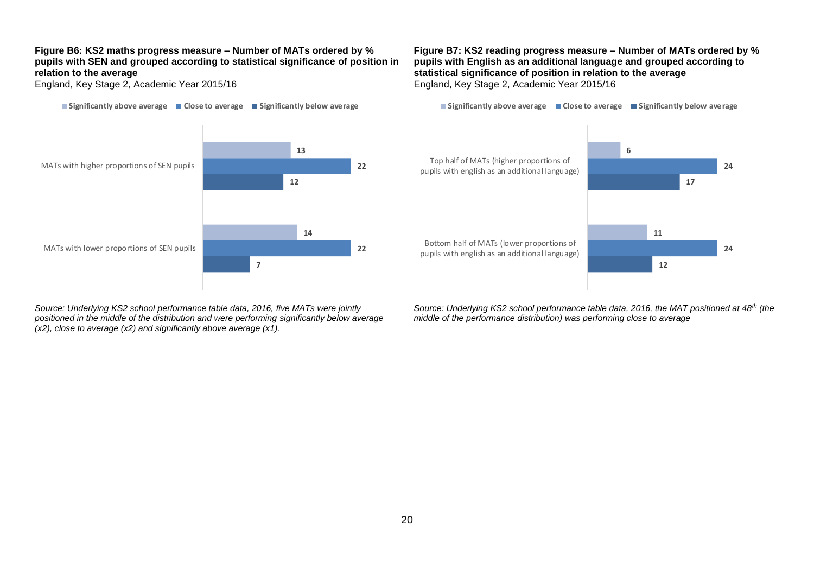#### **Figure B6: KS2 maths progress measure – Number of MATs ordered by % pupils with SEN and grouped according to statistical significance of position in relation to the average**

England, Key Stage 2, Academic Year 2015/16

**Significantly above average Close to average Significantly below average**



*Source: Underlying KS2 school performance table data, 2016, five MATs were jointly positioned in the middle of the distribution and were performing significantly below average (x2), close to average (x2) and significantly above average (x1).*

#### **Figure B7: KS2 reading progress measure – Number of MATs ordered by % pupils with English as an additional language and grouped according to statistical significance of position in relation to the average** England, Key Stage 2, Academic Year 2015/16

**Significantly above average Close to average Significantly below average**



*Source: Underlying KS2 school performance table data, 2016, the MAT positioned at 48th (the middle of the performance distribution) was performing close to average*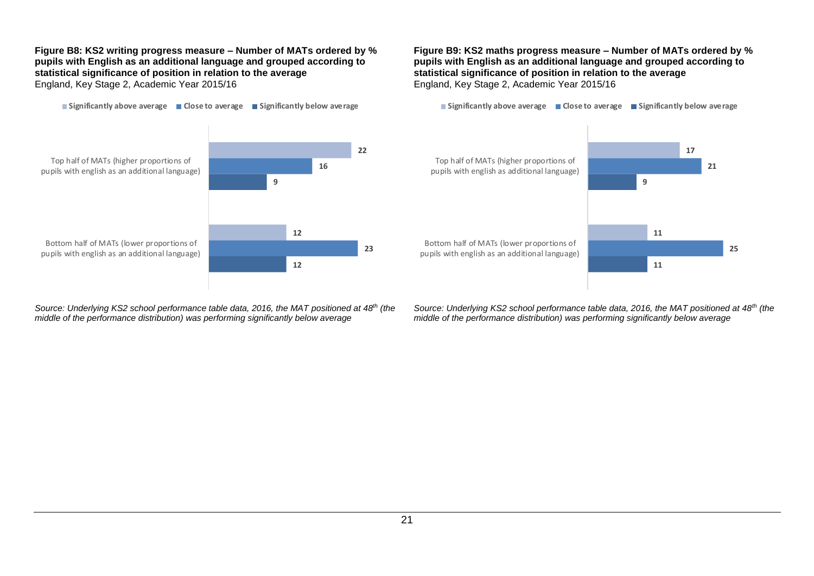#### **Figure B8: KS2 writing progress measure – Number of MATs ordered by % pupils with English as an additional language and grouped according to statistical significance of position in relation to the average** England, Key Stage 2, Academic Year 2015/16

**Significantly above average Close to average Significantly below average**

#### **Figure B9: KS2 maths progress measure – Number of MATs ordered by % pupils with English as an additional language and grouped according to statistical significance of position in relation to the average** England, Key Stage 2, Academic Year 2015/16

**Significantly above average Close to average Significantly below average**



*Source: Underlying KS2 school performance table data, 2016, the MAT positioned at 48th (the middle of the performance distribution) was performing significantly below average*



*Source: Underlying KS2 school performance table data, 2016, the MAT positioned at 48th (the middle of the performance distribution) was performing significantly below average*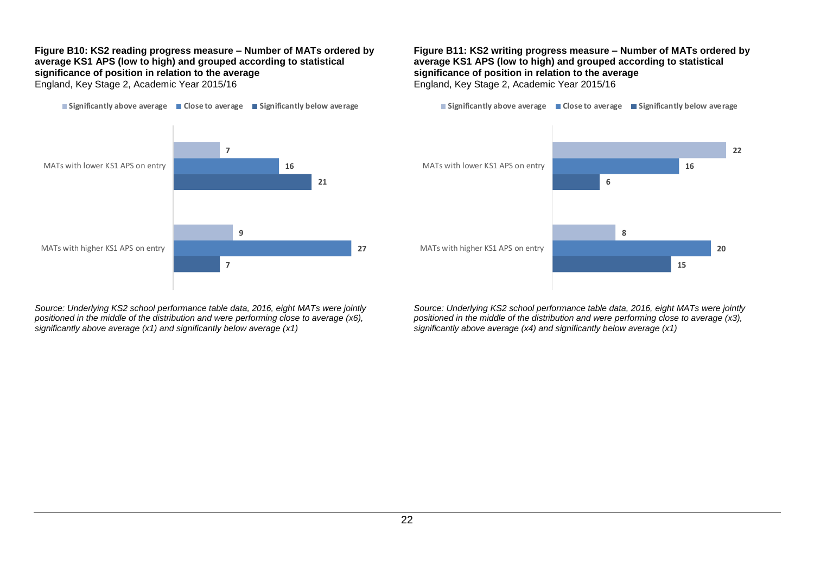#### **Figure B10: KS2 reading progress measure – Number of MATs ordered by average KS1 APS (low to high) and grouped according to statistical significance of position in relation to the average** England, Key Stage 2, Academic Year 2015/16

**Significantly above average Close to average Significantly below average**



*Source: Underlying KS2 school performance table data, 2016, eight MATs were jointly positioned in the middle of the distribution and were performing close to average (x6), significantly above average (x1) and significantly below average (x1)*

#### **Figure B11: KS2 writing progress measure – Number of MATs ordered by average KS1 APS (low to high) and grouped according to statistical significance of position in relation to the average** England, Key Stage 2, Academic Year 2015/16

**Significantly above average Close to average Significantly below average**



*Source: Underlying KS2 school performance table data, 2016, eight MATs were jointly positioned in the middle of the distribution and were performing close to average (x3), significantly above average (x4) and significantly below average (x1)*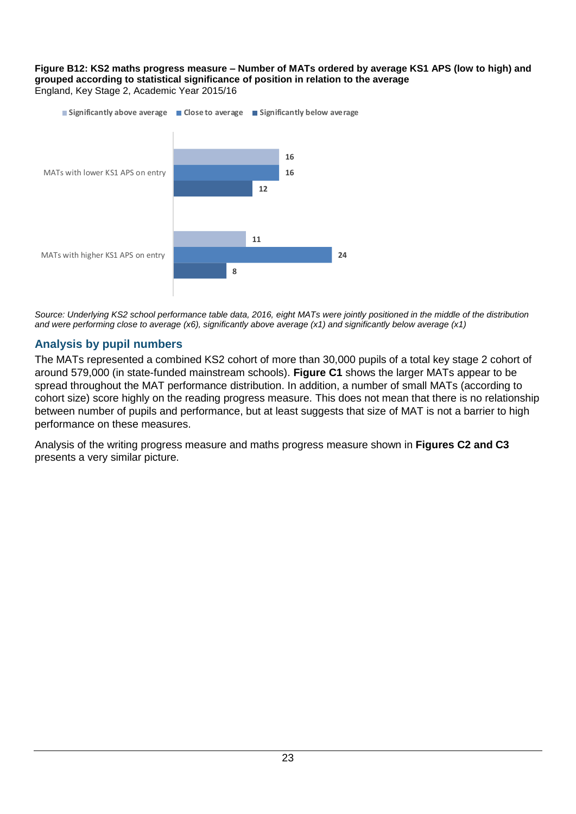#### **Figure B12: KS2 maths progress measure – Number of MATs ordered by average KS1 APS (low to high) and grouped according to statistical significance of position in relation to the average** England, Key Stage 2, Academic Year 2015/16



*Source: Underlying KS2 school performance table data, 2016, eight MATs were jointly positioned in the middle of the distribution and were performing close to average (x6), significantly above average (x1) and significantly below average (x1)*

## <span id="page-22-0"></span>**Analysis by pupil numbers**

The MATs represented a combined KS2 cohort of more than 30,000 pupils of a total key stage 2 cohort of around 579,000 (in state-funded mainstream schools). **Figure C1** shows the larger MATs appear to be spread throughout the MAT performance distribution. In addition, a number of small MATs (according to cohort size) score highly on the reading progress measure. This does not mean that there is no relationship between number of pupils and performance, but at least suggests that size of MAT is not a barrier to high performance on these measures.

Analysis of the writing progress measure and maths progress measure shown in **Figures C2 and C3** presents a very similar picture.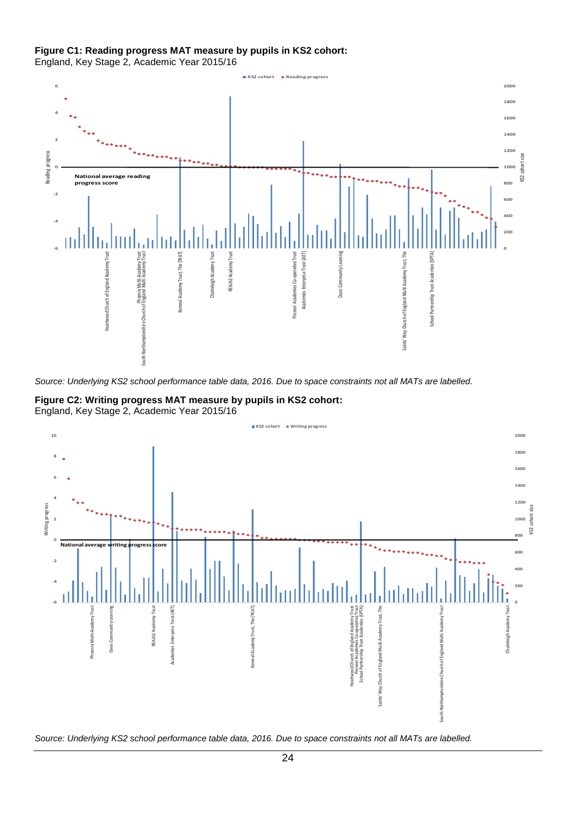#### **Figure C1: Reading progress MAT measure by pupils in KS2 cohort:**

England, Key Stage 2, Academic Year 2015/16



*Source: Underlying KS2 school performance table data, 2016. Due to space constraints not all MATs are labelled.*





*Source: Underlying KS2 school performance table data, 2016. Due to space constraints not all MATs are labelled.*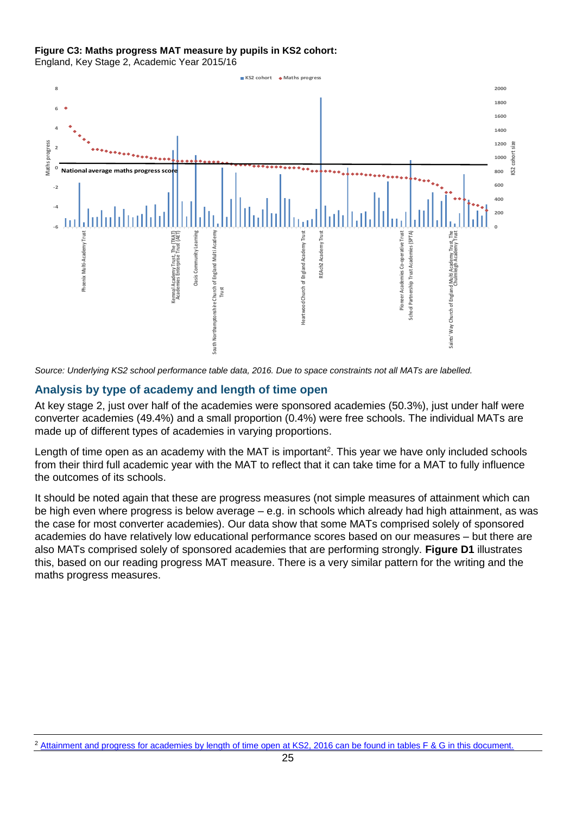#### **Figure C3: Maths progress MAT measure by pupils in KS2 cohort:**

England, Key Stage 2, Academic Year 2015/16



*Source: Underlying KS2 school performance table data, 2016. Due to space constraints not all MATs are labelled.*

#### <span id="page-24-0"></span>**Analysis by type of academy and length of time open**

At key stage 2, just over half of the academies were sponsored academies (50.3%), just under half were converter academies (49.4%) and a small proportion (0.4%) were free schools. The individual MATs are made up of different types of academies in varying proportions.

Length of time open as an academy with the MAT is important<sup>2</sup>. This year we have only included schools from their third full academic year with the MAT to reflect that it can take time for a MAT to fully influence the outcomes of its schools.

It should be noted again that these are progress measures (not simple measures of attainment which can be high even where progress is below average – e.g. in schools which already had high attainment, as was the case for most converter academies). Our data show that some MATs comprised solely of sponsored academies do have relatively low educational performance scores based on our measures – but there are also MATs comprised solely of sponsored academies that are performing strongly. **Figure D1** illustrates this, based on our reading progress MAT measure. There is a very similar pattern for the writing and the maths progress measures.

<sup>&</sup>lt;sup>2</sup> [Attainment and progress for academies by length of time open at KS2, 2016 can be found in tables F & G in this document.](https://www.gov.uk/government/uploads/system/uploads/attachment_data/file/577296/SFR62_2016_text.pdf)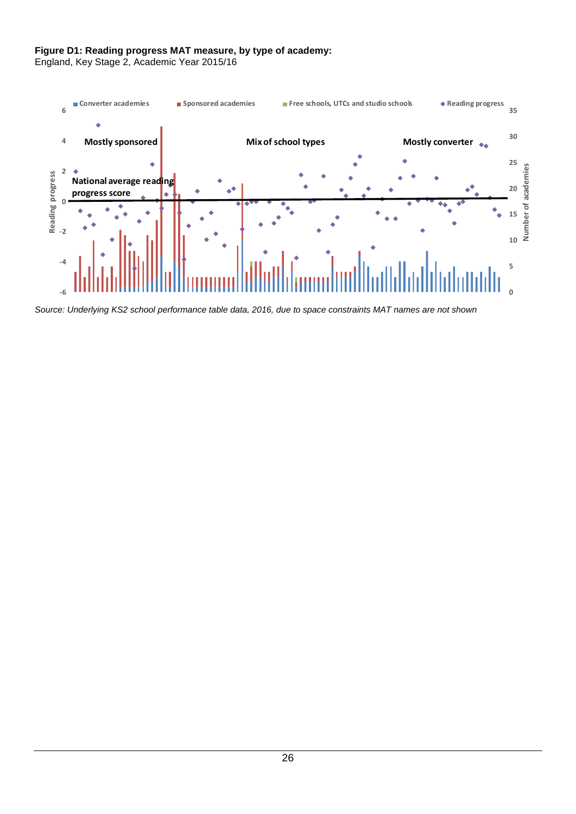#### **Figure D1: Reading progress MAT measure, by type of academy:**

England, Key Stage 2, Academic Year 2015/16



*Source: Underlying KS2 school performance table data, 2016, due to space constraints MAT names are not shown*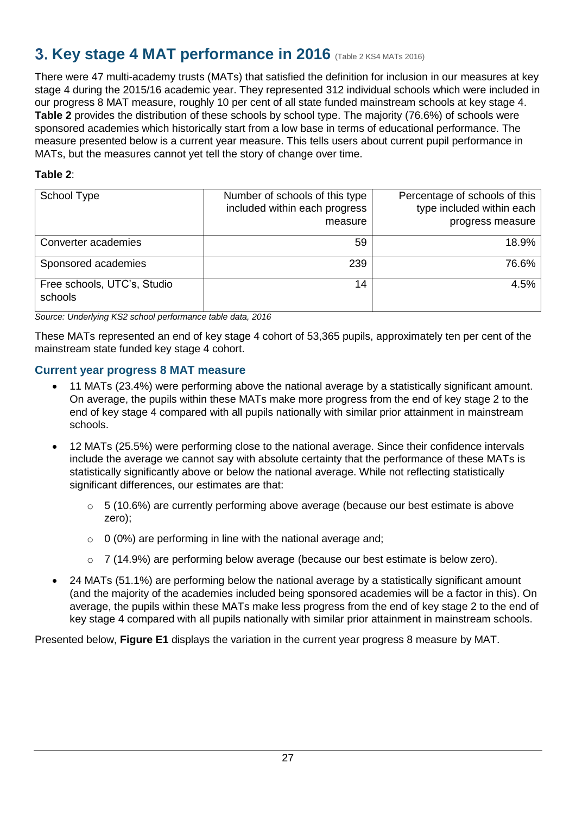# <span id="page-26-0"></span>**3. Key stage 4 MAT performance in 2016** (Table 2 KS4 MATs 2016)

There were 47 multi-academy trusts (MATs) that satisfied the definition for inclusion in our measures at key stage 4 during the 2015/16 academic year. They represented 312 individual schools which were included in our progress 8 MAT measure, roughly 10 per cent of all state funded mainstream schools at key stage 4. **Table 2** provides the distribution of these schools by school type. The majority (76.6%) of schools were sponsored academies which historically start from a low base in terms of educational performance. The measure presented below is a current year measure. This tells users about current pupil performance in MATs, but the measures cannot yet tell the story of change over time.

## **Table 2**:

| School Type                            | Number of schools of this type<br>included within each progress<br>measure | Percentage of schools of this<br>type included within each<br>progress measure |
|----------------------------------------|----------------------------------------------------------------------------|--------------------------------------------------------------------------------|
| Converter academies                    | 59                                                                         | 18.9%                                                                          |
| Sponsored academies                    | 239                                                                        | 76.6%                                                                          |
| Free schools, UTC's, Studio<br>schools | 14                                                                         | 4.5%                                                                           |

*Source: Underlying KS2 school performance table data, 2016*

These MATs represented an end of key stage 4 cohort of 53,365 pupils, approximately ten per cent of the mainstream state funded key stage 4 cohort.

## <span id="page-26-1"></span>**Current year progress 8 MAT measure**

- 11 MATs (23.4%) were performing above the national average by a statistically significant amount. On average, the pupils within these MATs make more progress from the end of key stage 2 to the end of key stage 4 compared with all pupils nationally with similar prior attainment in mainstream schools.
- 12 MATs (25.5%) were performing close to the national average. Since their confidence intervals include the average we cannot say with absolute certainty that the performance of these MATs is statistically significantly above or below the national average. While not reflecting statistically significant differences, our estimates are that:
	- $\circ$  5 (10.6%) are currently performing above average (because our best estimate is above zero);
	- $\circ$  0 (0%) are performing in line with the national average and:
	- o 7 (14.9%) are performing below average (because our best estimate is below zero).
- 24 MATs (51.1%) are performing below the national average by a statistically significant amount (and the majority of the academies included being sponsored academies will be a factor in this). On average, the pupils within these MATs make less progress from the end of key stage 2 to the end of key stage 4 compared with all pupils nationally with similar prior attainment in mainstream schools.

Presented below, **Figure E1** displays the variation in the current year progress 8 measure by MAT.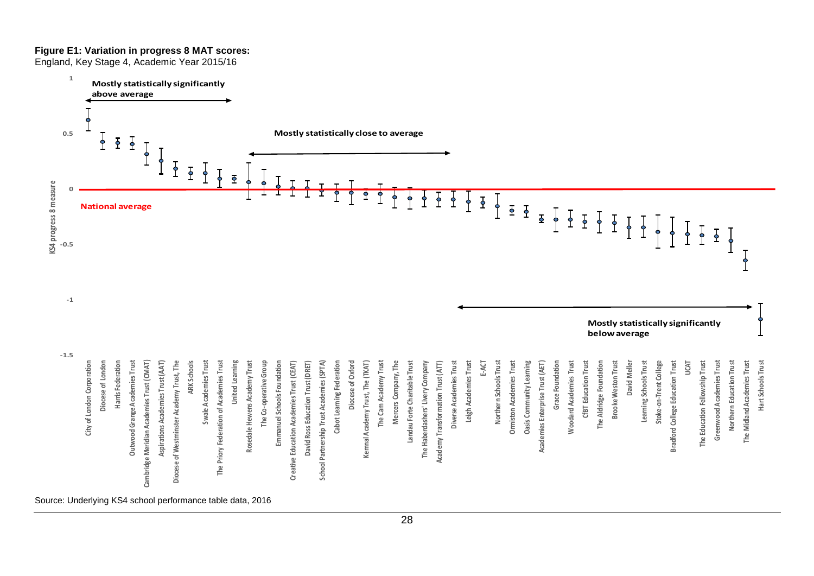#### **Figure E1: Variation in progress 8 MAT scores:**

England, Key Stage 4, Academic Year 2015/16

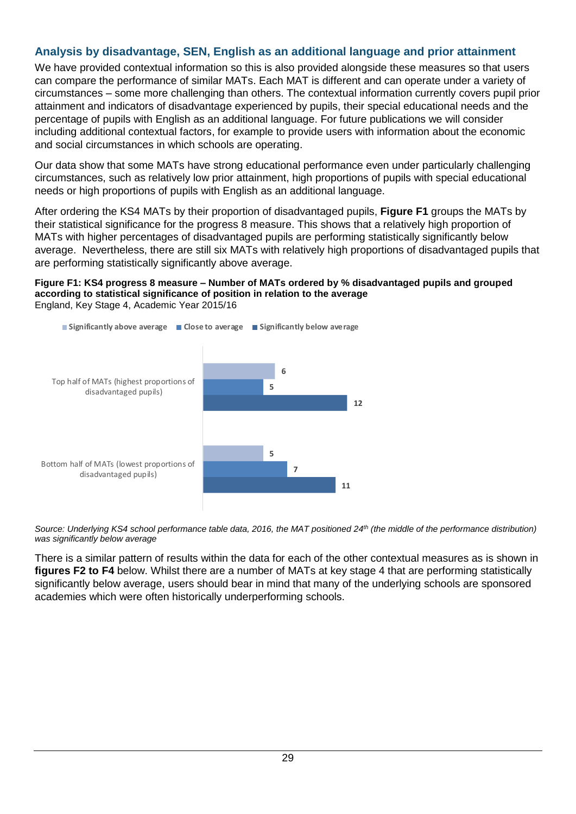## <span id="page-28-0"></span>**Analysis by disadvantage, SEN, English as an additional language and prior attainment**

We have provided contextual information so this is also provided alongside these measures so that users can compare the performance of similar MATs. Each MAT is different and can operate under a variety of circumstances – some more challenging than others. The contextual information currently covers pupil prior attainment and indicators of disadvantage experienced by pupils, their special educational needs and the percentage of pupils with English as an additional language. For future publications we will consider including additional contextual factors, for example to provide users with information about the economic and social circumstances in which schools are operating.

Our data show that some MATs have strong educational performance even under particularly challenging circumstances, such as relatively low prior attainment, high proportions of pupils with special educational needs or high proportions of pupils with English as an additional language.

After ordering the KS4 MATs by their proportion of disadvantaged pupils, **Figure F1** groups the MATs by their statistical significance for the progress 8 measure. This shows that a relatively high proportion of MATs with higher percentages of disadvantaged pupils are performing statistically significantly below average. Nevertheless, there are still six MATs with relatively high proportions of disadvantaged pupils that are performing statistically significantly above average.

#### **Figure F1: KS4 progress 8 measure – Number of MATs ordered by % disadvantaged pupils and grouped according to statistical significance of position in relation to the average** England, Key Stage 4, Academic Year 2015/16



*Source: Underlying KS4 school performance table data, 2016, the MAT positioned 24th (the middle of the performance distribution) was significantly below average*

There is a similar pattern of results within the data for each of the other contextual measures as is shown in **figures F2 to F4** below. Whilst there are a number of MATs at key stage 4 that are performing statistically significantly below average, users should bear in mind that many of the underlying schools are sponsored academies which were often historically underperforming schools.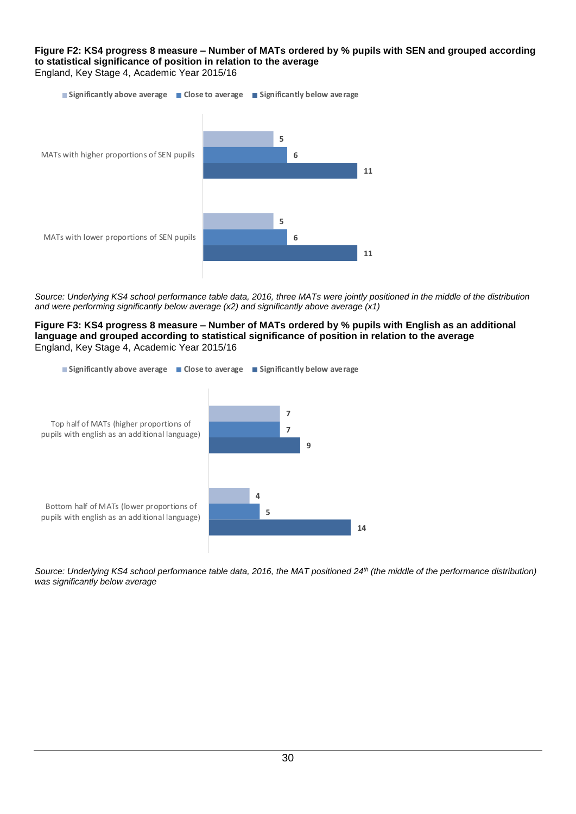**Figure F2: KS4 progress 8 measure – Number of MATs ordered by % pupils with SEN and grouped according to statistical significance of position in relation to the average** England, Key Stage 4, Academic Year 2015/16



*Source: Underlying KS4 school performance table data, 2016, three MATs were jointly positioned in the middle of the distribution and were performing significantly below average (x2) and significantly above average (x1)*

**Figure F3: KS4 progress 8 measure – Number of MATs ordered by % pupils with English as an additional language and grouped according to statistical significance of position in relation to the average** England, Key Stage 4, Academic Year 2015/16



*Source: Underlying KS4 school performance table data, 2016, the MAT positioned 24th (the middle of the performance distribution) was significantly below average*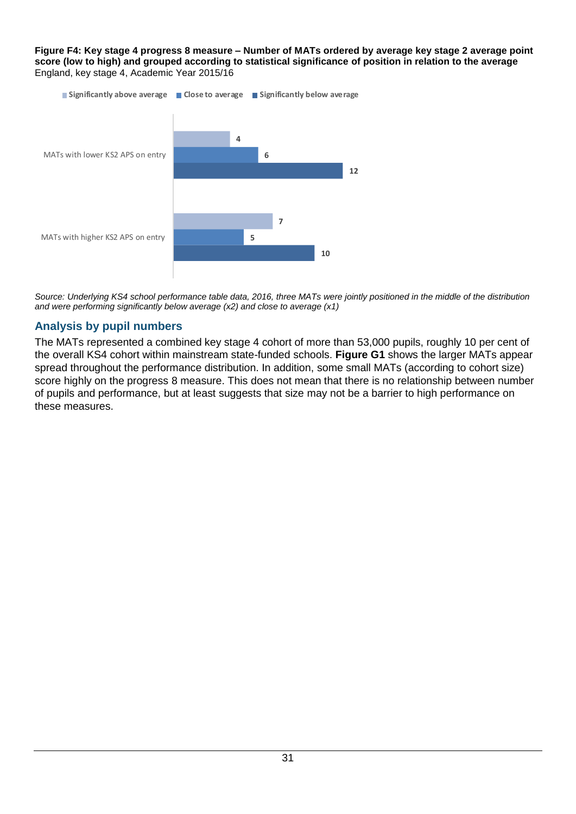**Figure F4: Key stage 4 progress 8 measure – Number of MATs ordered by average key stage 2 average point score (low to high) and grouped according to statistical significance of position in relation to the average** England, key stage 4, Academic Year 2015/16



*Source: Underlying KS4 school performance table data, 2016, three MATs were jointly positioned in the middle of the distribution and were performing significantly below average (x2) and close to average (x1)*

## <span id="page-30-0"></span>**Analysis by pupil numbers**

The MATs represented a combined key stage 4 cohort of more than 53,000 pupils, roughly 10 per cent of the overall KS4 cohort within mainstream state-funded schools. **Figure G1** shows the larger MATs appear spread throughout the performance distribution. In addition, some small MATs (according to cohort size) score highly on the progress 8 measure. This does not mean that there is no relationship between number of pupils and performance, but at least suggests that size may not be a barrier to high performance on these measures.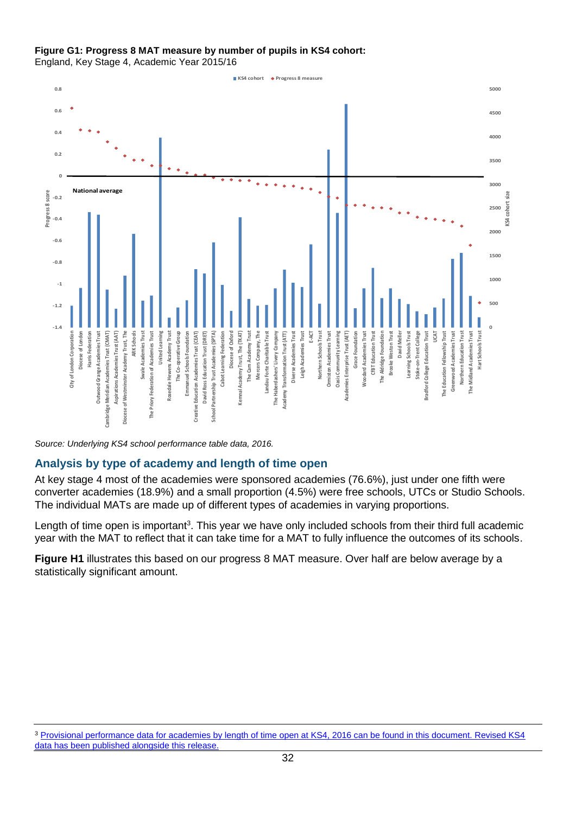#### **Figure G1: Progress 8 MAT measure by number of pupils in KS4 cohort:**

England, Key Stage 4, Academic Year 2015/16



*Source: Underlying KS4 school performance table data, 2016.*

## <span id="page-31-0"></span>**Analysis by type of academy and length of time open**

At key stage 4 most of the academies were sponsored academies (76.6%), just under one fifth were converter academies (18.9%) and a small proportion (4.5%) were free schools, UTCs or Studio Schools. The individual MATs are made up of different types of academies in varying proportions.

Length of time open is important<sup>3</sup>. This year we have only included schools from their third full academic year with the MAT to reflect that it can take time for a MAT to fully influence the outcomes of its schools.

**Figure H1** illustrates this based on our progress 8 MAT measure. Over half are below average by a statistically significant amount.

<sup>3</sup> [Provisional performance data for academies by length of time open at KS4, 2016 can be found in this document. Revised KS4](https://www.gov.uk/government/uploads/system/uploads/attachment_data/file/559919/SFR48_2016.pdf)  [data has been published alongside this release.](https://www.gov.uk/government/uploads/system/uploads/attachment_data/file/559919/SFR48_2016.pdf)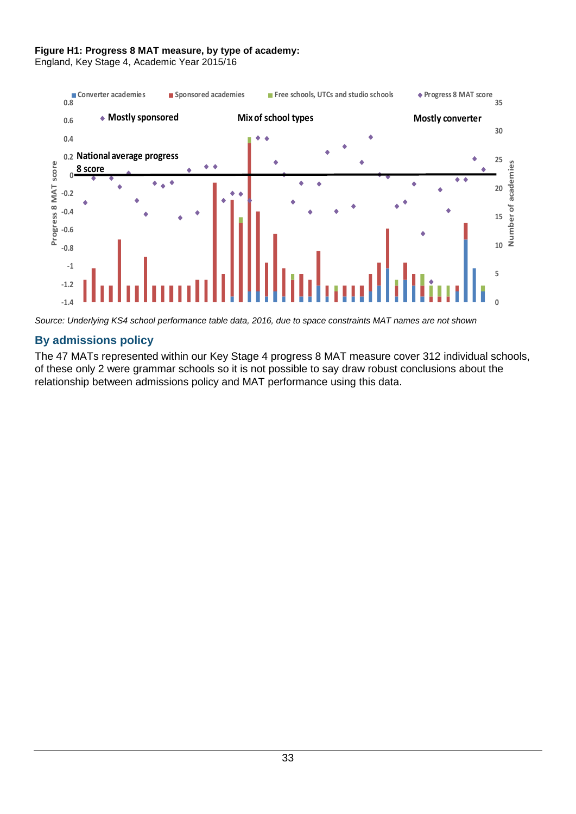### **Figure H1: Progress 8 MAT measure, by type of academy:**

England, Key Stage 4, Academic Year 2015/16



*Source: Underlying KS4 school performance table data, 2016, due to space constraints MAT names are not shown*

## <span id="page-32-0"></span>**By admissions policy**

The 47 MATs represented within our Key Stage 4 progress 8 MAT measure cover 312 individual schools, of these only 2 were grammar schools so it is not possible to say draw robust conclusions about the relationship between admissions policy and MAT performance using this data.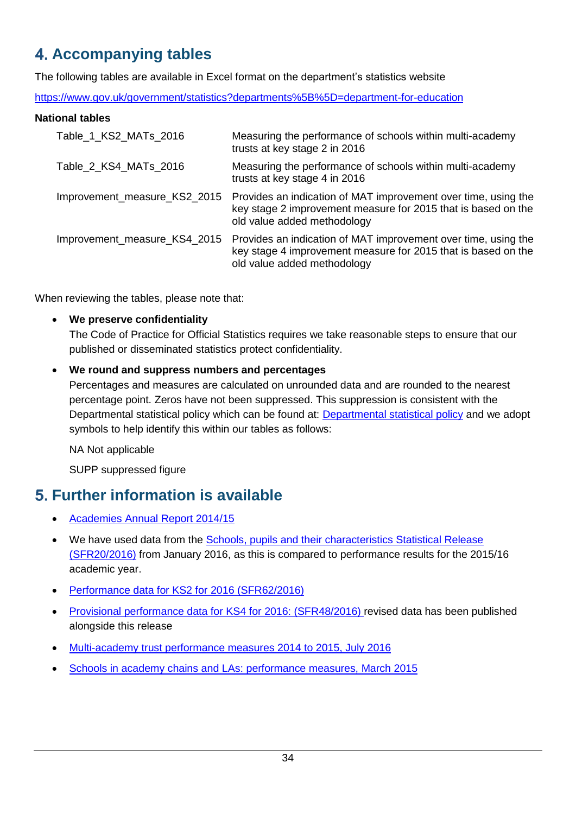# <span id="page-33-0"></span>**Accompanying tables**

The following tables are available in Excel format on the department's statistics website

<https://www.gov.uk/government/statistics?departments%5B%5D=department-for-education>

## **National tables**

| Table_1_KS2_MATs_2016        | Measuring the performance of schools within multi-academy<br>trusts at key stage 2 in 2016                                                                     |
|------------------------------|----------------------------------------------------------------------------------------------------------------------------------------------------------------|
| Table_2_KS4_MATs_2016        | Measuring the performance of schools within multi-academy<br>trusts at key stage 4 in 2016                                                                     |
| Improvement_measure_KS2_2015 | Provides an indication of MAT improvement over time, using the<br>key stage 2 improvement measure for 2015 that is based on the<br>old value added methodology |
| Improvement_measure_KS4_2015 | Provides an indication of MAT improvement over time, using the<br>key stage 4 improvement measure for 2015 that is based on the<br>old value added methodology |

When reviewing the tables, please note that:

## **We preserve confidentiality**

The Code of Practice for Official Statistics requires we take reasonable steps to ensure that our published or disseminated statistics protect confidentiality.

## **We round and suppress numbers and percentages**

Percentages and measures are calculated on unrounded data and are rounded to the nearest percentage point. Zeros have not been suppressed. This suppression is consistent with the Departmental statistical policy which can be found at: [Departmental statistical policy](https://www.gov.uk/government/uploads/system/uploads/attachment_data/file/190768/Confidentiality_Policy_v4.pdf) and we adopt symbols to help identify this within our tables as follows:

NA Not applicable

SUPP suppressed figure

## <span id="page-33-1"></span>**Further information is available**

- [Academies Annual Report 2014/15](https://www.gov.uk/government/publications/academies-annual-report-academic-year-2014-to-2015)
- We have used data from the Schools, pupils and their characteristics Statistical Release [\(SFR20/2016\)](https://www.gov.uk/government/statistics/schools-pupils-and-their-characteristics-january-2016) from January 2016, as this is compared to performance results for the 2015/16 academic year.
- [Performance data for KS2 for 2016 \(SFR62/2016\)](https://www.gov.uk/government/statistics/national-curriculum-assessments-key-stage-2-2016-revised)
- [Provisional performance data for KS4 for 2016: \(SFR48/2016\)](https://www.gov.uk/government/statistics/gcse-and-equivalent-results-2015-to-2016-provisional) revised data has been published alongside this release
- [Multi-academy trust performance measures 2014 to 2015, July 2016](https://www.gov.uk/government/statistics/multi-academy-trust-performance-measures-2014-to-2015)
- [Schools in academy chains and LAs: performance measures, March 2015](https://www.gov.uk/government/statistics/schools-in-academy-chains-and-las-performance-measures)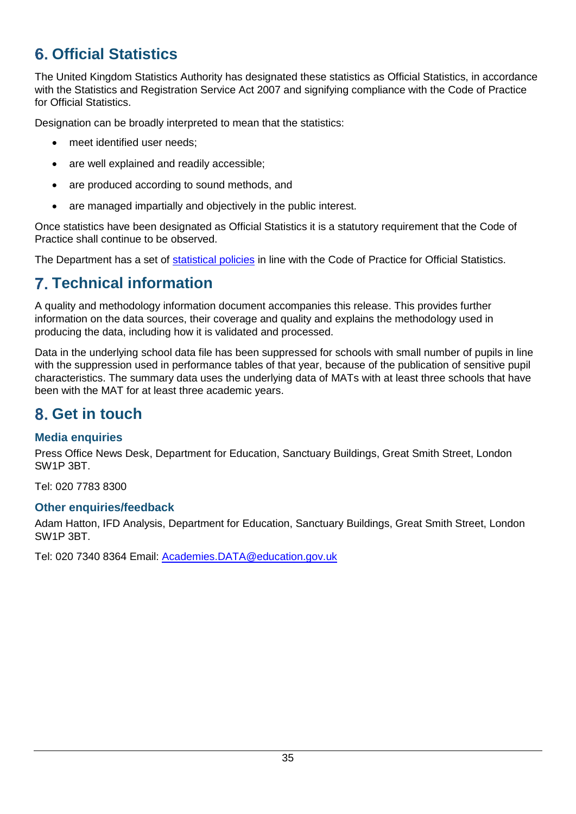# <span id="page-34-0"></span>**Official Statistics**

The United Kingdom Statistics Authority has designated these statistics as Official Statistics, in accordance with the Statistics and Registration Service Act 2007 and signifying compliance with the Code of Practice for Official Statistics.

Designation can be broadly interpreted to mean that the statistics:

- meet identified user needs;
- are well explained and readily accessible;
- are produced according to sound methods, and
- are managed impartially and objectively in the public interest.

Once statistics have been designated as Official Statistics it is a statutory requirement that the Code of Practice shall continue to be observed.

The Department has a set of [statistical policies](http://www.gov.uk/government/publications/standards-for-official-statistics-published-by-the-department-for-education) in line with the Code of Practice for Official Statistics.

## <span id="page-34-1"></span>**Technical information**

A quality and methodology information document accompanies this release. This provides further information on the data sources, their coverage and quality and explains the methodology used in producing the data, including how it is validated and processed.

Data in the underlying school data file has been suppressed for schools with small number of pupils in line with the suppression used in performance tables of that year, because of the publication of sensitive pupil characteristics. The summary data uses the underlying data of MATs with at least three schools that have been with the MAT for at least three academic years.

## <span id="page-34-2"></span>**Get in touch**

## <span id="page-34-3"></span>**Media enquiries**

Press Office News Desk, Department for Education, Sanctuary Buildings, Great Smith Street, London SW1P 3BT.

Tel: 020 7783 8300

## <span id="page-34-4"></span>**Other enquiries/feedback**

Adam Hatton, IFD Analysis, Department for Education, Sanctuary Buildings, Great Smith Street, London SW1P 3BT.

Tel: 020 7340 8364 Email: [Academies.DATA@education.gov.uk](mailto:Academies.DATA@education.gov.uk)